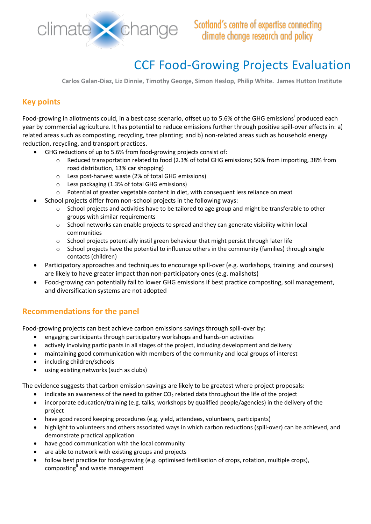

# CCF Food-Growing Projects Evaluation

**Carlos Galan-Diaz, Liz Dinnie, Timothy George, Simon Heslop, Philip White. James Hutton Institute**

# **Key points**

Food-growing in allotments could, in a best case scenario, offset up to 5.6% of the GHG emissions<sup>i</sup> produced each year by commercial agriculture. It has potential to reduce emissions further through positive spill-over effects in: a) related areas such as composting, recycling, tree planting; and b) non-related areas such as household energy reduction, recycling, and transport practices.

- GHG reductions of up to 5.6% from food-growing projects consist of:
	- o Reduced transportation related to food (2.3% of total GHG emissions; 50% from importing, 38% from road distribution, 13% car shopping)
	- o Less post-harvest waste (2% of total GHG emissions)
	- o Less packaging (1.3% of total GHG emissions)
	- o Potential of greater vegetable content in diet, with consequent less reliance on meat
- School projects differ from non-school projects in the following ways:
	- $\circ$  School projects and activities have to be tailored to age group and might be transferable to other groups with similar requirements
	- $\circ$  School networks can enable projects to spread and they can generate visibility within local communities
	- o School projects potentially instil green behaviour that might persist through later life
	- o School projects have the potential to influence others in the community (families) through single contacts (children)
- Participatory approaches and techniques to encourage spill-over (e.g. workshops, training and courses) are likely to have greater impact than non-participatory ones (e.g. mailshots)
- Food-growing can potentially fail to lower GHG emissions if best practice composting, soil management, and diversification systems are not adopted

# **Recommendations for the panel**

Food-growing projects can best achieve carbon emissions savings through spill-over by:

- engaging participants through participatory workshops and hands-on activities
- actively involving participants in all stages of the project, including development and delivery
- maintaining good communication with members of the community and local groups of interest
- including children/schools
- using existing networks (such as clubs)

The evidence suggests that carbon emission savings are likely to be greatest where project proposals:

- indicate an awareness of the need to gather  $CO<sub>2</sub>$  related data throughout the life of the project
- incorporate education/training (e.g. talks, workshops by qualified people/agencies) in the delivery of the project
- have good record keeping procedures (e.g. yield, attendees, volunteers, participants)
- highlight to volunteers and others associated ways in which carbon reductions (spill-over) can be achieved, and demonstrate practical application
- have good communication with the local community
- are able to network with existing groups and projects
- follow best practice for food-growing (e.g. optimised fertilisation of crops, rotation, multiple crops), composting<sup>ii</sup> and waste management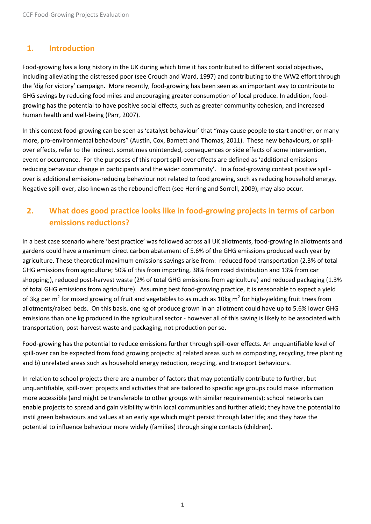# **1. Introduction**

Food-growing has a long history in the UK during which time it has contributed to different social objectives, including alleviating the distressed poor (see Crouch and Ward, 1997) and contributing to the WW2 effort through the 'dig for victory' campaign. More recently, food-growing has been seen as an important way to contribute to GHG savings by reducing food miles and encouraging greater consumption of local produce. In addition, foodgrowing has the potential to have positive social effects, such as greater community cohesion, and increased human health and well-being (Parr, 2007).

In this context food-growing can be seen as 'catalyst behaviour' that "may cause people to start another, or many more, pro-environmental behaviours" (Austin, Cox, Barnett and Thomas, 2011). These new behaviours, or spillover effects, refer to the indirect, sometimes unintended, consequences or side effects of some intervention, event or occurrence. For the purposes of this report spill-over effects are defined as 'additional emissionsreducing behaviour change in participants and the wider community'. In a food-growing context positive spillover is additional emissions-reducing behaviour not related to food growing, such as reducing household energy. Negative spill-over, also known as the rebound effect (see Herring and Sorrell, 2009), may also occur.

# **2. What does good practice looks like in food-growing projects in terms of carbon emissions reductions?**

In a best case scenario where 'best practice' was followed across all UK allotments, food-growing in allotments and gardens could have a maximum direct carbon abatement of 5.6% of the GHG emissions produced each year by agriculture. These theoretical maximum emissions savings arise from: reduced food transportation (2.3% of total GHG emissions from agriculture; 50% of this from importing, 38% from road distribution and 13% from car shopping;), reduced post-harvest waste (2% of total GHG emissions from agriculture) and reduced packaging (1.3% of total GHG emissions from agriculture). Assuming best food-growing practice, it is reasonable to expect a yield of 3kg per m<sup>2</sup> for mixed growing of fruit and vegetables to as much as 10kg m<sup>2</sup> for high-yielding fruit trees from allotments/raised beds. On this basis, one kg of produce grown in an allotment could have up to 5.6% lower GHG emissions than one kg produced in the agricultural sector - however all of this saving is likely to be associated with transportation, post-harvest waste and packaging, not production per se.

Food-growing has the potential to reduce emissions further through spill-over effects. An unquantifiable level of spill-over can be expected from food growing projects: a) related areas such as composting, recycling, tree planting and b) unrelated areas such as household energy reduction, recycling, and transport behaviours.

In relation to school projects there are a number of factors that may potentially contribute to further, but unquantifiable, spill-over: projects and activities that are tailored to specific age groups could make information more accessible (and might be transferable to other groups with similar requirements); school networks can enable projects to spread and gain visibility within local communities and further afield; they have the potential to instil green behaviours and values at an early age which might persist through later life; and they have the potential to influence behaviour more widely (families) through single contacts (children).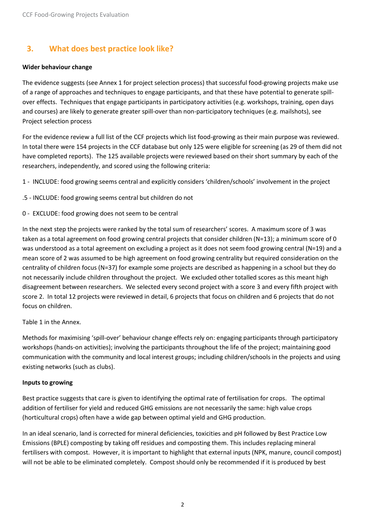# **3. What does best practice look like?**

#### **Wider behaviour change**

The evidence suggests (see Annex 1 for project selection process) that successful food-growing projects make use of a range of approaches and techniques to engage participants, and that these have potential to generate spillover effects. Techniques that engage participants in participatory activities (e.g. workshops, training, open days and courses) are likely to generate greater spill-over than non-participatory techniques (e.g. mailshots), see [Project selection](#page-7-0) process

[For the evidence review a full list of the CCF projects which list food-growing as their main purpose was reviewed.](#page-7-0)  In total there were 154 projects in the CCF database but [only 125 were eligible for screening \(as 29 of them did not](#page-7-0)  [have completed reports\). The 125 available projects were reviewed based on their short summary by each of the](#page-7-0)  [researchers, independently, and scored using the following criteria:](#page-7-0)

- 1 [INCLUDE: food growing seems central and explicitly considers 'children/schools' involvement in the project](#page-7-0)
- .5 [INCLUDE: food growing seems central but children do not](#page-7-0)
- [0 EXCLUDE: food growing does not seem to be central](#page-7-0)

In the [next step the projects were ranked by the total sum of researchers' scores. A maximum score of 3 was](#page-7-0)  [taken as a total agreement on food growing central projects that consider children \(N=13\);](#page-7-0) a minimum score of 0 [was understood as a total agreement on excluding a project as it does not seem food growing central \(N=19\) and a](#page-7-0)  [mean score of 2 was assumed to be high agreement on food growing centrality but required consideration on the](#page-7-0)  centrality of children focus (N=37) [for example some projects are described](#page-7-0) as happening in a school but they do [not necessarily include children throughout the project. We excluded other totalled scores as this meant high](#page-7-0)  disagreement between researchers. We [selected every second project with a score 3 and every fifth project with](#page-7-0)  score 2. In total [12 projects were reviewed in detail, 6 projects that focus on children and 6 projects that do not](#page-7-0)  [focus on children.](#page-7-0)

#### [Table 1](#page-7-0) in the Annex.

Methods for maximising 'spill-over' behaviour change effects rely on: engaging participants through participatory workshops (hands-on activities); involving the participants throughout the life of the project; maintaining good communication with the community and local interest groups; including children/schools in the projects and using existing networks (such as clubs).

#### **Inputs to growing**

Best practice suggests that care is given to identifying the optimal rate of fertilisation for crops. The optimal addition of fertiliser for yield and reduced GHG emissions are not necessarily the same: high value crops (horticultural crops) often have a wide gap between optimal yield and GHG production.

In an ideal scenario, land is corrected for mineral deficiencies, toxicities and pH followed by Best Practice Low Emissions (BPLE) composting by taking off residues and composting them. This includes replacing mineral fertilisers with compost. However, it is important to highlight that external inputs (NPK, manure, council compost) will not be able to be eliminated completely. Compost should only be recommended if it is produced by best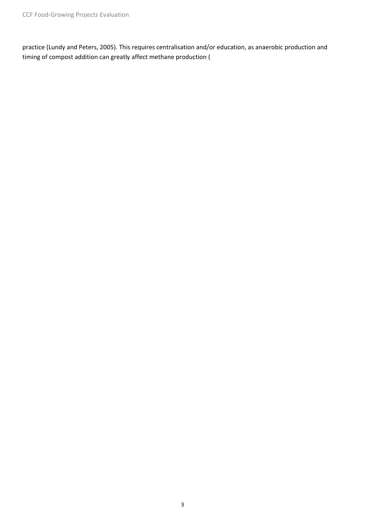practice (Lundy and Peters, 2005). This requires centralisation and/or education, as anaerobic production and timing of compost addition can greatly affect methane production [\(](#page-7-1)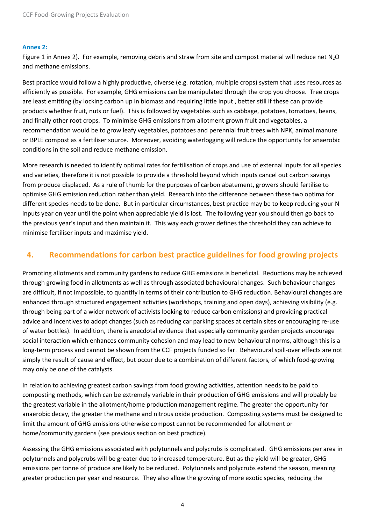#### **[Annex 2:](#page-7-1)**

[Figure 1](#page-7-1) in Annex 2). For example, removing debris and straw from site and compost material will reduce net  $N_2O$ and methane emissions.

Best practice would follow a highly productive, diverse (e.g. rotation, multiple crops) system that uses resources as efficiently as possible. For example, GHG emissions can be manipulated through the crop you choose. Tree crops are least emitting (by locking carbon up in biomass and requiring little input , better still if these can provide products whether fruit, nuts or fuel). This is followed by vegetables such as cabbage, potatoes, tomatoes, beans, and finally other root crops. To minimise GHG emissions from allotment grown fruit and vegetables, a recommendation would be to grow leafy vegetables, potatoes and perennial fruit trees with NPK, animal manure or BPLE compost as a fertiliser source. Moreover, avoiding waterlogging will reduce the opportunity for anaerobic conditions in the soil and reduce methane emission.

More research is needed to identify optimal rates for fertilisation of crops and use of external inputs for all species and varieties, therefore it is not possible to provide a threshold beyond which inputs cancel out carbon savings from produce displaced. As a rule of thumb for the purposes of carbon abatement, growers should fertilise to optimise GHG emission reduction rather than yield. Research into the difference between these two optima for different species needs to be done. But in particular circumstances, best practice may be to keep reducing your N inputs year on year until the point when appreciable yield is lost. The following year you should then go back to the previous year's input and then maintain it. This way each grower defines the threshold they can achieve to minimise fertiliser inputs and maximise yield.

## **4. Recommendations for carbon best practice guidelines for food growing projects**

Promoting allotments and community gardens to reduce GHG emissions is beneficial. Reductions may be achieved through growing food in allotments as well as through associated behavioural changes. Such behaviour changes are difficult, if not impossible, to quantify in terms of their contribution to GHG reduction. Behavioural changes are enhanced through structured engagement activities (workshops, training and open days), achieving visibility (e.g. through being part of a wider network of activists looking to reduce carbon emissions) and providing practical advice and incentives to adopt changes (such as reducing car parking spaces at certain sites or encouraging re-use of water bottles). In addition, there is anecdotal evidence that especially community garden projects encourage social interaction which enhances community cohesion and may lead to new behavioural norms, although this is a long-term process and cannot be shown from the CCF projects funded so far. Behavioural spill-over effects are not simply the result of cause and effect, but occur due to a combination of different factors, of which food-growing may only be one of the catalysts.

In relation to achieving greatest carbon savings from food growing activities, attention needs to be paid to composting methods, which can be extremely variable in their production of GHG emissions and will probably be the greatest variable in the allotment/home production management regime. The greater the opportunity for anaerobic decay, the greater the methane and nitrous oxide production. Composting systems must be designed to limit the amount of GHG emissions otherwise compost cannot be recommended for allotment or home/community gardens (see previous section on best practice).

Assessing the GHG emissions associated with polytunnels and polycrubs is complicated. GHG emissions per area in polytunnels and polycrubs will be greater due to increased temperature. But as the yield will be greater, GHG emissions per tonne of produce are likely to be reduced. Polytunnels and polycrubs extend the season, meaning greater production per year and resource. They also allow the growing of more exotic species, reducing the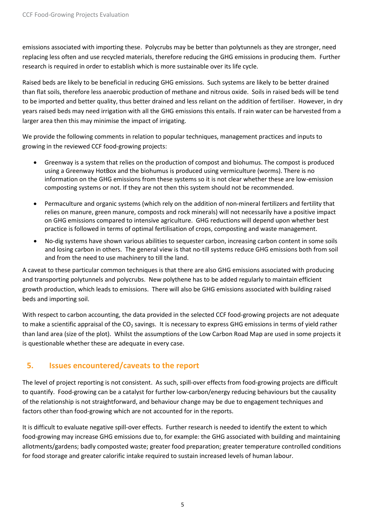emissions associated with importing these. Polycrubs may be better than polytunnels as they are stronger, need replacing less often and use recycled materials, therefore reducing the GHG emissions in producing them. Further research is required in order to establish which is more sustainable over its life cycle.

Raised beds are likely to be beneficial in reducing GHG emissions. Such systems are likely to be better drained than flat soils, therefore less anaerobic production of methane and nitrous oxide. Soils in raised beds will be tend to be imported and better quality, thus better drained and less reliant on the addition of fertiliser. However, in dry years raised beds may need irrigation with all the GHG emissions this entails. If rain water can be harvested from a larger area then this may minimise the impact of irrigating.

We provide the following comments in relation to popular techniques, management practices and inputs to growing in the reviewed CCF food-growing projects:

- Greenway is a system that relies on the production of compost and biohumus. The compost is produced using a Greenway HotBox and the biohumus is produced using vermiculture (worms). There is no information on the GHG emissions from these systems so it is not clear whether these are low-emission composting systems or not. If they are not then this system should not be recommended.
- Permaculture and organic systems (which rely on the addition of non-mineral fertilizers and fertility that relies on manure, green manure, composts and rock minerals) will not necessarily have a positive impact on GHG emissions compared to intensive agriculture. GHG reductions will depend upon whether best practice is followed in terms of optimal fertilisation of crops, composting and waste management.
- No-dig systems have shown various abilities to sequester carbon, increasing carbon content in some soils and losing carbon in others. The general view is that no-till systems reduce GHG emissions both from soil and from the need to use machinery to till the land.

A caveat to these particular common techniques is that there are also GHG emissions associated with producing and transporting polytunnels and polycrubs. New polythene has to be added regularly to maintain efficient growth production, which leads to emissions. There will also be GHG emissions associated with building raised beds and importing soil.

With respect to carbon accounting, the data provided in the selected CCF food-growing projects are not adequate to make a scientific appraisal of the CO<sub>2</sub> savings. It is necessary to express GHG emissions in terms of yield rather than land area (size of the plot). Whilst the assumptions of the Low Carbon Road Map are used in some projects it is questionable whether these are adequate in every case.

# **5. Issues encountered/caveats to the report**

The level of project reporting is not consistent. As such, spill-over effects from food-growing projects are difficult to quantify. Food-growing can be a catalyst for further low-carbon/energy reducing behaviours but the causality of the relationship is not straightforward, and behaviour change may be due to engagement techniques and factors other than food-growing which are not accounted for in the reports.

It is difficult to evaluate negative spill-over effects. Further research is needed to identify the extent to which food-growing may increase GHG emissions due to, for example: the GHG associated with building and maintaining allotments/gardens; badly composted waste; greater food preparation; greater temperature controlled conditions for food storage and greater calorific intake required to sustain increased levels of human labour.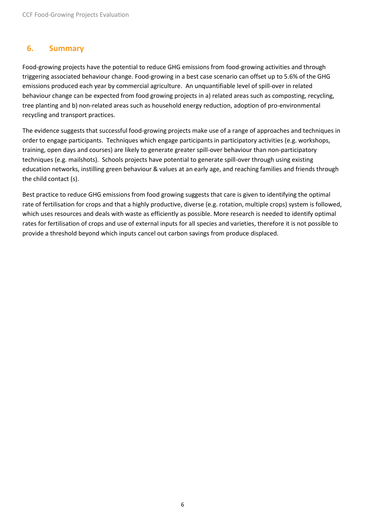# **6. Summary**

Food-growing projects have the potential to reduce GHG emissions from food-growing activities and through triggering associated behaviour change. Food-growing in a best case scenario can offset up to 5.6% of the GHG emissions produced each year by commercial agriculture. An unquantifiable level of spill-over in related behaviour change can be expected from food growing projects in a) related areas such as composting, recycling, tree planting and b) non-related areas such as household energy reduction, adoption of pro-environmental recycling and transport practices.

The evidence suggests that successful food-growing projects make use of a range of approaches and techniques in order to engage participants. Techniques which engage participants in participatory activities (e.g. workshops, training, open days and courses) are likely to generate greater spill-over behaviour than non-participatory techniques (e.g. mailshots). Schools projects have potential to generate spill-over through using existing education networks, instilling green behaviour & values at an early age, and reaching families and friends through the child contact (s).

Best practice to reduce GHG emissions from food growing suggests that care is given to identifying the optimal rate of fertilisation for crops and that a highly productive, diverse (e.g. rotation, multiple crops) system is followed, which uses resources and deals with waste as efficiently as possible. More research is needed to identify optimal rates for fertilisation of crops and use of external inputs for all species and varieties, therefore it is not possible to provide a threshold beyond which inputs cancel out carbon savings from produce displaced.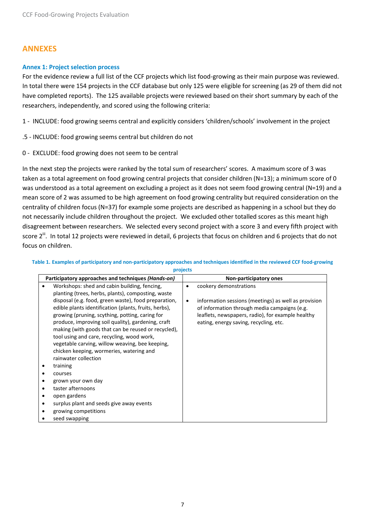### **ANNEXES**

#### <span id="page-7-0"></span>**Annex 1: Project selection process**

For the evidence review a full list of the CCF projects which list food-growing as their main purpose was reviewed. In total there were 154 projects in the CCF database but only 125 were eligible for screening (as 29 of them did not have completed reports). The 125 available projects were reviewed based on their short summary by each of the researchers, independently, and scored using the following criteria:

1 - INCLUDE: food growing seems central and explicitly considers 'children/schools' involvement in the project

- .5 INCLUDE: food growing seems central but children do not
- 0 EXCLUDE: food growing does not seem to be central

In the next step the projects were ranked by the total sum of researchers' scores. A maximum score of 3 was taken as a total agreement on food growing central projects that consider children (N=13); a minimum score of 0 was understood as a total agreement on excluding a project as it does not seem food growing central (N=19) and a mean score of 2 was assumed to be high agreement on food growing centrality but required consideration on the centrality of children focus (N=37) for example some projects are described as happening in a school but they do not necessarily include children throughout the project. We excluded other totalled scores as this meant high disagreement between researchers. We selected every second project with a score 3 and every fifth project with score 2<sup>ii</sup>. In total 12 projects were reviewed in detail, 6 projects that focus on children and 6 projects that do not focus on children.

<span id="page-7-1"></span>

| projects                                           |                                                                                                                                                                                                                                                                                                                              |                        |                                                                                                                                                                                                                               |
|----------------------------------------------------|------------------------------------------------------------------------------------------------------------------------------------------------------------------------------------------------------------------------------------------------------------------------------------------------------------------------------|------------------------|-------------------------------------------------------------------------------------------------------------------------------------------------------------------------------------------------------------------------------|
| Participatory approaches and techniques (Hands-on) |                                                                                                                                                                                                                                                                                                                              | Non-participatory ones |                                                                                                                                                                                                                               |
|                                                    | Workshops: shed and cabin building, fencing,<br>planting (trees, herbs, plants), composting, waste<br>disposal (e.g. food, green waste), food preparation,<br>edible plants identification (plants, fruits, herbs),<br>growing (pruning, scything, potting, caring for<br>produce, improving soil quality), gardening, craft | $\bullet$<br>$\bullet$ | cookery demonstrations<br>information sessions (meetings) as well as provision<br>of information through media campaigns (e.g.<br>leaflets, newspapers, radio), for example healthy<br>eating, energy saving, recycling, etc. |
|                                                    | making (with goods that can be reused or recycled),<br>tool using and care, recycling, wood work,<br>vegetable carving, willow weaving, bee keeping,<br>chicken keeping, wormeries, watering and<br>rainwater collection<br>training                                                                                         |                        |                                                                                                                                                                                                                               |
|                                                    | courses                                                                                                                                                                                                                                                                                                                      |                        |                                                                                                                                                                                                                               |
| ٠<br>٠<br>٠<br>٠                                   | grown your own day<br>taster afternoons<br>open gardens<br>surplus plant and seeds give away events<br>growing competitions                                                                                                                                                                                                  |                        |                                                                                                                                                                                                                               |
|                                                    | seed swapping                                                                                                                                                                                                                                                                                                                |                        |                                                                                                                                                                                                                               |

**Table 1. Examples of participatory and non-participatory approaches and techniques identified in the reviewed CCF food-growing**